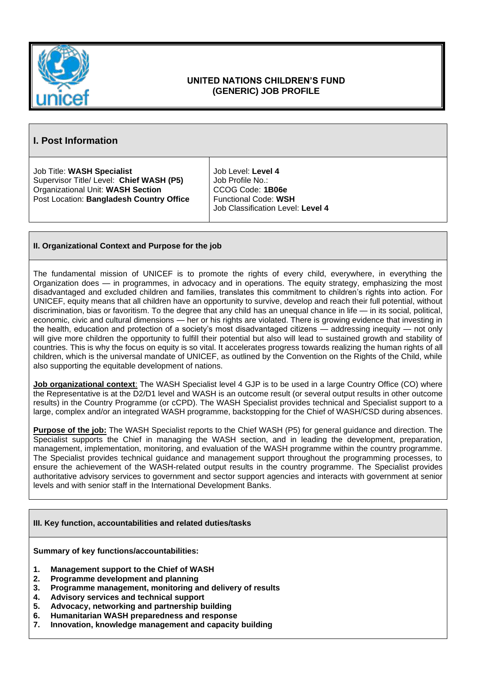

## **UNITED NATIONS CHILDREN'S FUND (GENERIC) JOB PROFILE**

## **I. Post Information**

Job Title: **WASH Specialist** Supervisor Title/ Level: **Chief WASH (P5)** Organizational Unit: **WASH Section** Post Location: **Bangladesh Country Office**

Job Level: **Level 4** Job Profile No.: CCOG Code: **1B06e** Functional Code: **WSH** Job Classification Level: **Level 4**

## **II. Organizational Context and Purpose for the job**

The fundamental mission of UNICEF is to promote the rights of every child, everywhere, in everything the Organization does — in programmes, in advocacy and in operations. The equity strategy, emphasizing the most disadvantaged and excluded children and families, translates this commitment to children's rights into action. For UNICEF, equity means that all children have an opportunity to survive, develop and reach their full potential, without discrimination, bias or favoritism. To the degree that any child has an unequal chance in life — in its social, political, economic, civic and cultural dimensions — her or his rights are violated. There is growing evidence that investing in the health, education and protection of a society's most disadvantaged citizens — addressing inequity — not only will give more children the opportunity to fulfill their potential but also will lead to sustained growth and stability of countries. This is why the focus on equity is so vital. It accelerates progress towards realizing the human rights of all children, which is the universal mandate of UNICEF, as outlined by the Convention on the Rights of the Child, while also supporting the equitable development of nations.

**Job organizational context**: The WASH Specialist level 4 GJP is to be used in a large Country Office (CO) where the Representative is at the D2/D1 level and WASH is an outcome result (or several output results in other outcome results) in the Country Programme (or cCPD). The WASH Specialist provides technical and Specialist support to a large, complex and/or an integrated WASH programme, backstopping for the Chief of WASH/CSD during absences.

**Purpose of the job:** The WASH Specialist reports to the Chief WASH (P5) for general guidance and direction. The Specialist supports the Chief in managing the WASH section, and in leading the development, preparation, management, implementation, monitoring, and evaluation of the WASH programme within the country programme. The Specialist provides technical guidance and management support throughout the programming processes, to ensure the achievement of the WASH-related output results in the country programme. The Specialist provides authoritative advisory services to government and sector support agencies and interacts with government at senior levels and with senior staff in the International Development Banks.

## **III. Key function, accountabilities and related duties/tasks**

**Summary of key functions/accountabilities:** 

- **1. Management support to the Chief of WASH**
- **2. Programme development and planning**
- **3. Programme management, monitoring and delivery of results**
- **4. Advisory services and technical support**
- **5. Advocacy, networking and partnership building**
- **6. Humanitarian WASH preparedness and response**
- **7. Innovation, knowledge management and capacity building**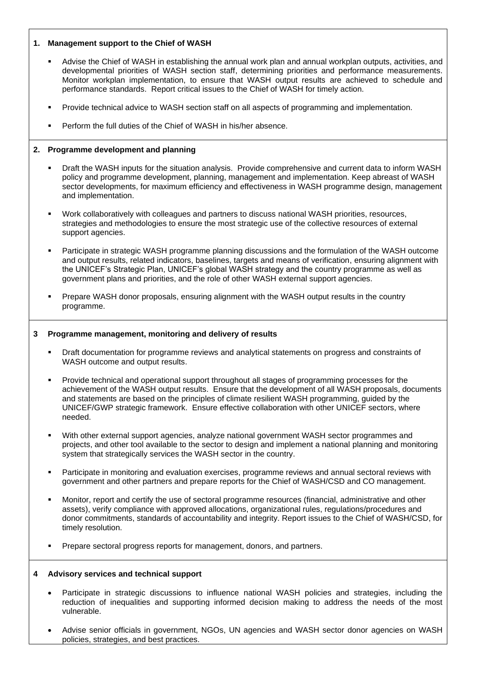## **1. Management support to the Chief of WASH**

- Advise the Chief of WASH in establishing the annual work plan and annual workplan outputs, activities, and developmental priorities of WASH section staff, determining priorities and performance measurements. Monitor workplan implementation, to ensure that WASH output results are achieved to schedule and performance standards. Report critical issues to the Chief of WASH for timely action.
- Provide technical advice to WASH section staff on all aspects of programming and implementation.
- Perform the full duties of the Chief of WASH in his/her absence.

#### **2. Programme development and planning**

- Draft the WASH inputs for the situation analysis. Provide comprehensive and current data to inform WASH policy and programme development, planning, management and implementation. Keep abreast of WASH sector developments, for maximum efficiency and effectiveness in WASH programme design, management and implementation.
- Work collaboratively with colleagues and partners to discuss national WASH priorities, resources, strategies and methodologies to ensure the most strategic use of the collective resources of external support agencies.
- Participate in strategic WASH programme planning discussions and the formulation of the WASH outcome and output results, related indicators, baselines, targets and means of verification, ensuring alignment with the UNICEF's Strategic Plan, UNICEF's global WASH strategy and the country programme as well as government plans and priorities, and the role of other WASH external support agencies.
- Prepare WASH donor proposals, ensuring alignment with the WASH output results in the country programme.

#### **3 Programme management, monitoring and delivery of results**

- Draft documentation for programme reviews and analytical statements on progress and constraints of WASH outcome and output results.
- Provide technical and operational support throughout all stages of programming processes for the achievement of the WASH output results. Ensure that the development of all WASH proposals, documents and statements are based on the principles of climate resilient WASH programming, guided by the UNICEF/GWP strategic framework. Ensure effective collaboration with other UNICEF sectors, where needed.
- With other external support agencies, analyze national government WASH sector programmes and projects, and other tool available to the sector to design and implement a national planning and monitoring system that strategically services the WASH sector in the country.
- Participate in monitoring and evaluation exercises, programme reviews and annual sectoral reviews with government and other partners and prepare reports for the Chief of WASH/CSD and CO management.
- Monitor, report and certify the use of sectoral programme resources (financial, administrative and other assets), verify compliance with approved allocations, organizational rules, regulations/procedures and donor commitments, standards of accountability and integrity. Report issues to the Chief of WASH/CSD, for timely resolution.
- Prepare sectoral progress reports for management, donors, and partners.

## **4 Advisory services and technical support**

- Participate in strategic discussions to influence national WASH policies and strategies, including the reduction of inequalities and supporting informed decision making to address the needs of the most vulnerable.
- Advise senior officials in government, NGOs, UN agencies and WASH sector donor agencies on WASH policies, strategies, and best practices.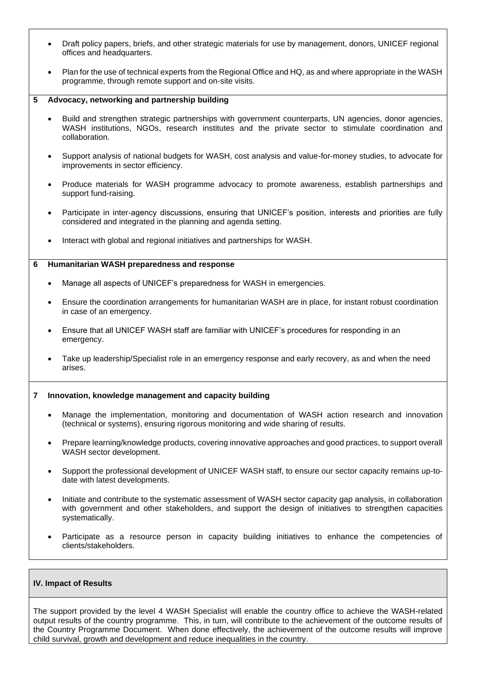- Draft policy papers, briefs, and other strategic materials for use by management, donors, UNICEF regional offices and headquarters.
- Plan for the use of technical experts from the Regional Office and HQ, as and where appropriate in the WASH programme, through remote support and on-site visits.

#### **5 Advocacy, networking and partnership building**

- Build and strengthen strategic partnerships with government counterparts, UN agencies, donor agencies, WASH institutions, NGOs, research institutes and the private sector to stimulate coordination and collaboration.
- Support analysis of national budgets for WASH, cost analysis and value-for-money studies, to advocate for improvements in sector efficiency.
- Produce materials for WASH programme advocacy to promote awareness, establish partnerships and support fund-raising.
- Participate in inter-agency discussions, ensuring that UNICEF's position, interests and priorities are fully considered and integrated in the planning and agenda setting.
- Interact with global and regional initiatives and partnerships for WASH.

#### **6 Humanitarian WASH preparedness and response**

- Manage all aspects of UNICEF's preparedness for WASH in emergencies.
- Ensure the coordination arrangements for humanitarian WASH are in place, for instant robust coordination in case of an emergency.
- Ensure that all UNICEF WASH staff are familiar with UNICEF's procedures for responding in an emergency.
- Take up leadership/Specialist role in an emergency response and early recovery, as and when the need arises.

#### **7 Innovation, knowledge management and capacity building**

- Manage the implementation, monitoring and documentation of WASH action research and innovation (technical or systems), ensuring rigorous monitoring and wide sharing of results.
- Prepare learning/knowledge products, covering innovative approaches and good practices, to support overall WASH sector development.
- Support the professional development of UNICEF WASH staff, to ensure our sector capacity remains up-todate with latest developments.
- Initiate and contribute to the systematic assessment of WASH sector capacity gap analysis, in collaboration with government and other stakeholders, and support the design of initiatives to strengthen capacities systematically.
- Participate as a resource person in capacity building initiatives to enhance the competencies of clients/stakeholders.

#### **IV. Impact of Results**

The support provided by the level 4 WASH Specialist will enable the country office to achieve the WASH-related output results of the country programme. This, in turn, will contribute to the achievement of the outcome results of the Country Programme Document. When done effectively, the achievement of the outcome results will improve child survival, growth and development and reduce inequalities in the country.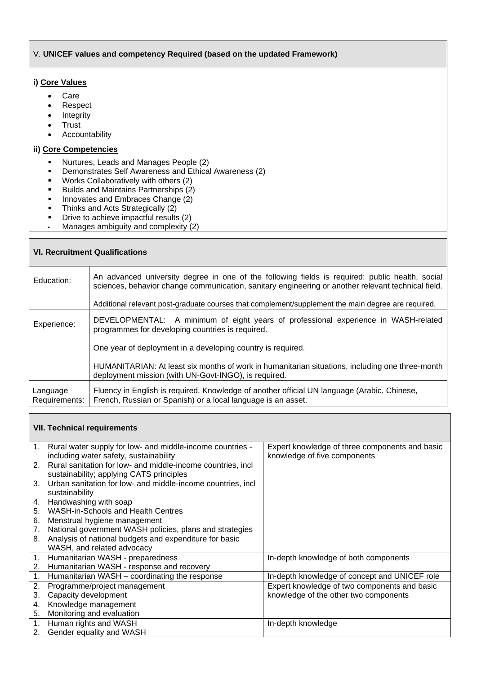## V. **UNICEF values and competency Required (based on the updated Framework)**

## **i) Core Values**

- Care
- Respect
- Integrity
- Trust
- Accountability

**VII. Technical requirements**

## **ii) Core Competencies**

- Nurtures, Leads and Manages People (2)<br>■ Demonstrates Self Awareness and Ethica
- Demonstrates Self Awareness and Ethical Awareness (2)
- Works Collaboratively with others (2)<br>■ Builds and Maintains Partnerships (2)
- Builds and Maintains Partnerships (2)<br>■ Innovates and Embraces Change (2)
- Innovates and Embraces Change  $\overrightarrow{2}$
- Thinks and Acts Strategically (2)<br>■ Drive to achieve impactful results
- Drive to achieve impactful results (2)
- **Manages ambiguity and complexity**  $(2)$

| <b>VI. Recruitment Qualifications</b> |                                                                                                                                                                                                       |  |  |  |
|---------------------------------------|-------------------------------------------------------------------------------------------------------------------------------------------------------------------------------------------------------|--|--|--|
| Education:                            | An advanced university degree in one of the following fields is required: public health, social<br>sciences, behavior change communication, sanitary engineering or another relevant technical field. |  |  |  |
|                                       | Additional relevant post-graduate courses that complement/supplement the main degree are required.                                                                                                    |  |  |  |
| Experience:                           | DEVELOPMENTAL: A minimum of eight years of professional experience in WASH-related<br>programmes for developing countries is required.                                                                |  |  |  |
|                                       | One year of deployment in a developing country is required.                                                                                                                                           |  |  |  |
|                                       | HUMANITARIAN: At least six months of work in humanitarian situations, including one three-month<br>deployment mission (with UN-Govt-INGO), is required.                                               |  |  |  |
| Language<br>Requirements:             | Fluency in English is required. Knowledge of another official UN language (Arabic, Chinese,<br>French, Russian or Spanish) or a local language is an asset.                                           |  |  |  |

|    | 1. Rural water supply for low- and middle-income countries -   | Expert knowledge of three components and basic |
|----|----------------------------------------------------------------|------------------------------------------------|
|    | including water safety, sustainability                         | knowledge of five components                   |
|    | 2. Rural sanitation for low- and middle-income countries, incl |                                                |
|    | sustainability; applying CATS principles                       |                                                |
| 3. | Urban sanitation for low- and middle-income countries, incl    |                                                |
|    | sustainability                                                 |                                                |
| 4. | Handwashing with soap                                          |                                                |
| 5. | <b>WASH-in-Schools and Health Centres</b>                      |                                                |
| 6. | Menstrual hygiene management                                   |                                                |
| 7. | National government WASH policies, plans and strategies        |                                                |
| 8. | Analysis of national budgets and expenditure for basic         |                                                |
|    | WASH, and related advocacy                                     |                                                |
| 1. | Humanitarian WASH - preparedness                               | In-depth knowledge of both components          |
| 2. | Humanitarian WASH - response and recovery                      |                                                |
| 1. | Humanitarian WASH - coordinating the response                  | In-depth knowledge of concept and UNICEF role  |
| 2. | Programme/project management                                   | Expert knowledge of two components and basic   |
| 3. | Capacity development                                           | knowledge of the other two components          |
| 4. | Knowledge management                                           |                                                |
| 5. | Monitoring and evaluation                                      |                                                |
| 1. | Human rights and WASH                                          | In-depth knowledge                             |
| 2. | Gender equality and WASH                                       |                                                |